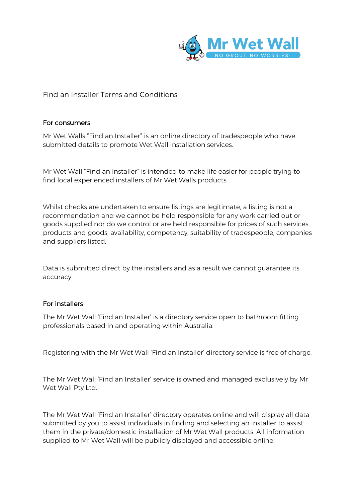

Find an Installer Terms and Conditions

## For consumers

Mr Wet Walls "Find an Installer" is an online directory of tradespeople who have submitted details to promote Wet Wall installation services.

Mr Wet Wall "Find an Installer" is intended to make life easier for people trying to find local experienced installers of Mr Wet Walls products.

Whilst checks are undertaken to ensure listings are legitimate, a listing is not a recommendation and we cannot be held responsible for any work carried out or goods supplied nor do we control or are held responsible for prices of such services, products and goods, availability, competency, suitability of tradespeople, companies and suppliers listed.

Data is submitted direct by the installers and as a result we cannot guarantee its accuracy.

## For installers

The Mr Wet Wall 'Find an Installer' is a directory service open to bathroom fitting professionals based in and operating within Australia.

Registering with the Mr Wet Wall 'Find an Installer' directory service is free of charge.

The Mr Wet Wall 'Find an Installer' service is owned and managed exclusively by Mr Wet Wall Pty Ltd.

The Mr Wet Wall 'Find an Installer' directory operates online and will display all data submitted by you to assist individuals in finding and selecting an installer to assist them in the private/domestic installation of Mr Wet Wall products. All information supplied to Mr Wet Wall will be publicly displayed and accessible online.